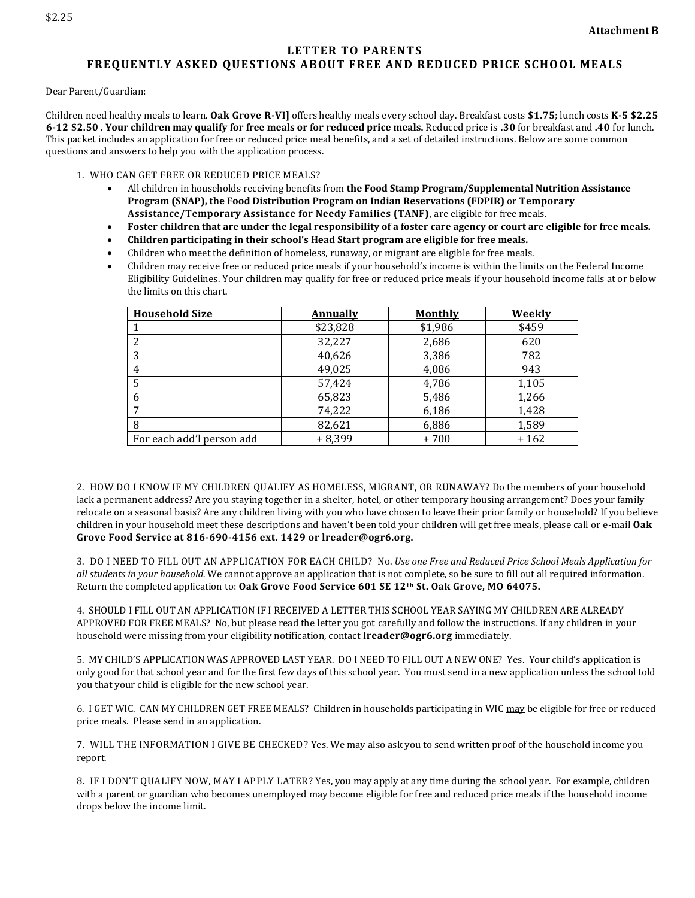## **LETTER TO PARENTS**

## **FREQUENTLY ASKED QUESTIONS ABOUT FREE AND REDUCED PRICE SCHOOL MEALS**

Dear Parent/Guardian:

Children need healthy meals to learn. **Oak Grove R-VI]** offers healthy meals every school day. Breakfast costs **\$1.75**; lunch costs **K-5 \$2.25 6-12 \$2.50** . **Your children may qualify for free meals or for reduced price meals.** Reduced price is **.30** for breakfast and **.40** for lunch. This packet includes an application for free or reduced price meal benefits, and a set of detailed instructions. Below are some common questions and answers to help you with the application process.

- 1. WHO CAN GET FREE OR REDUCED PRICE MEALS?
	- All children in households receiving benefits from **the Food Stamp Program/Supplemental Nutrition Assistance Program (SNAP), the Food Distribution Program on Indian Reservations (FDPIR)** or **Temporary Assistance/Temporary Assistance for Needy Families (TANF)**, are eligible for free meals.
	- **Foster children that are under the legal responsibility of a foster care agency or court are eligible for free meals.**
	- **Children participating in their school's Head Start program are eligible for free meals.**
	- Children who meet the definition of homeless, runaway, or migrant are eligible for free meals.
	- Children may receive free or reduced price meals if your household's income is within the limits on the Federal Income Eligibility Guidelines. Your children may qualify for free or reduced price meals if your household income falls at or below the limits on this chart.

| <b>Household Size</b>     | <b>Annually</b> | <b>Monthly</b> | Weekly |
|---------------------------|-----------------|----------------|--------|
|                           | \$23,828        | \$1,986        | \$459  |
| 2                         | 32,227          | 2,686          | 620    |
| 3                         | 40,626          | 3,386          | 782    |
| 4                         | 49,025          | 4,086          | 943    |
| 5                         | 57,424          | 4,786          | 1,105  |
| 6                         | 65,823          | 5,486          | 1,266  |
| 7                         | 74,222          | 6,186          | 1,428  |
| 8                         | 82,621          | 6,886          | 1,589  |
| For each add'l person add | $+8,399$        | $+700$         | $+162$ |

2. HOW DO I KNOW IF MY CHILDREN QUALIFY AS HOMELESS, MIGRANT, OR RUNAWAY? Do the members of your household lack a permanent address? Are you staying together in a shelter, hotel, or other temporary housing arrangement? Does your family relocate on a seasonal basis? Are any children living with you who have chosen to leave their prior family or household? If you believe children in your household meet these descriptions and haven't been told your children will get free meals, please call or e-mail **Oak Grove Food Service at 816-690-4156 ext. 1429 or lreader@ogr6.org.**

3. DO I NEED TO FILL OUT AN APPLICATION FOR EACH CHILD? No. *Use one Free and Reduced Price School Meals Application for all students in your household.* We cannot approve an application that is not complete, so be sure to fill out all required information. Return the completed application to: **Oak Grove Food Service 601 SE 12th St. Oak Grove, MO 64075.**

4. SHOULD I FILL OUT AN APPLICATION IF I RECEIVED A LETTER THIS SCHOOL YEAR SAYING MY CHILDREN ARE ALREADY APPROVED FOR FREE MEALS? No, but please read the letter you got carefully and follow the instructions. If any children in your household were missing from your eligibility notification, contact **lreader@ogr6.org** immediately.

5. MY CHILD'S APPLICATION WAS APPROVED LAST YEAR. DO I NEED TO FILL OUT A NEW ONE? Yes. Your child's application is only good for that school year and for the first few days of this school year. You must send in a new application unless the school told you that your child is eligible for the new school year.

6. I GET WIC. CAN MY CHILDREN GET FREE MEALS? Children in households participating in WIC may be eligible for free or reduced price meals. Please send in an application.

7. WILL THE INFORMATION I GIVE BE CHECKED? Yes. We may also ask you to send written proof of the household income you report.

8. IF I DON'T QUALIFY NOW, MAY I APPLY LATER? Yes, you may apply at any time during the school year. For example, children with a parent or guardian who becomes unemployed may become eligible for free and reduced price meals if the household income drops below the income limit.